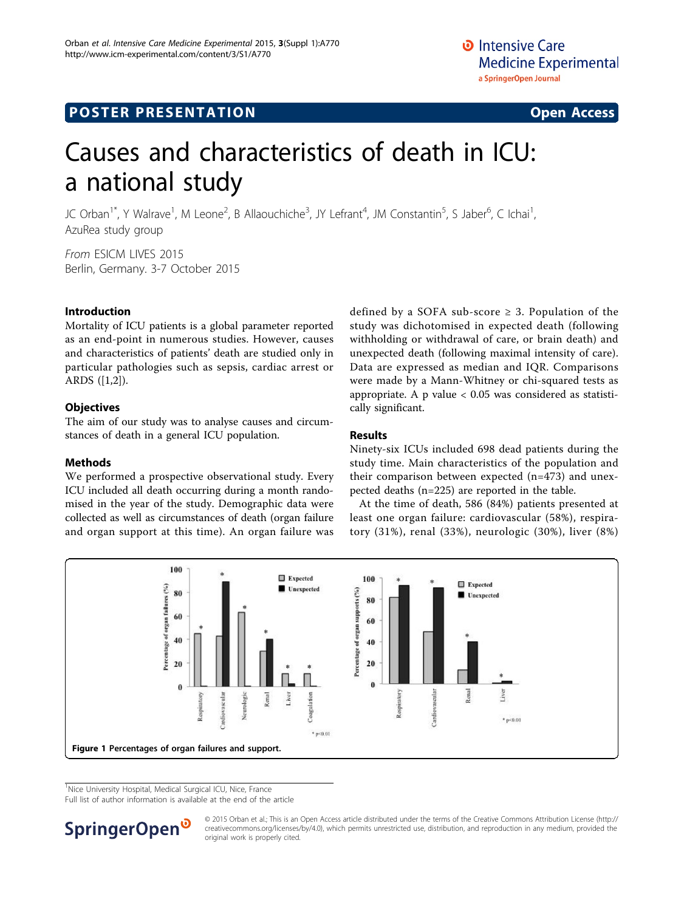# **POSTER PRESENTATION CONSUMING THE SERVICE SERVICE SERVICES**



# Causes and characteristics of death in ICU: a national study

JC Orban<sup>1\*</sup>, Y Walrave<sup>1</sup>, M Leone<sup>2</sup>, B Allaouchiche<sup>3</sup>, JY Lefrant<sup>4</sup>, JM Constantin<sup>5</sup>, S Jaber<sup>6</sup>, C Ichai<sup>1</sup> , AzuRea study group

From ESICM LIVES 2015 Berlin, Germany. 3-7 October 2015

# Introduction

Mortality of ICU patients is a global parameter reported as an end-point in numerous studies. However, causes and characteristics of patients' death are studied only in particular pathologies such as sepsis, cardiac arrest or ARDS ([\[1,2](#page-1-0)]).

# **Objectives**

The aim of our study was to analyse causes and circumstances of death in a general ICU population.

## **Methods**

We performed a prospective observational study. Every ICU included all death occurring during a month randomised in the year of the study. Demographic data were collected as well as circumstances of death (organ failure and organ support at this time). An organ failure was

defined by a SOFA sub-score  $\geq$  3. Population of the study was dichotomised in expected death (following withholding or withdrawal of care, or brain death) and unexpected death (following maximal intensity of care). Data are expressed as median and IQR. Comparisons were made by a Mann-Whitney or chi-squared tests as appropriate. A p value < 0.05 was considered as statistically significant.

# Results

Ninety-six ICUs included 698 dead patients during the study time. Main characteristics of the population and their comparison between expected (n=473) and unexpected deaths (n=225) are reported in the table.

At the time of death, 586 (84%) patients presented at least one organ failure: cardiovascular (58%), respiratory (31%), renal (33%), neurologic (30%), liver (8%)



<sup>1</sup>Nice University Hospital, Medical Surgical ICU, Nice, France

Full list of author information is available at the end of the article



© 2015 Orban et al.; This is an Open Access article distributed under the terms of the Creative Commons Attribution License [\(http://](http://creativecommons.org/licenses/by/4.0) [creativecommons.org/licenses/by/4.0](http://creativecommons.org/licenses/by/4.0)), which permits unrestricted use, distribution, and reproduction in any medium, provided the original work is properly cited.